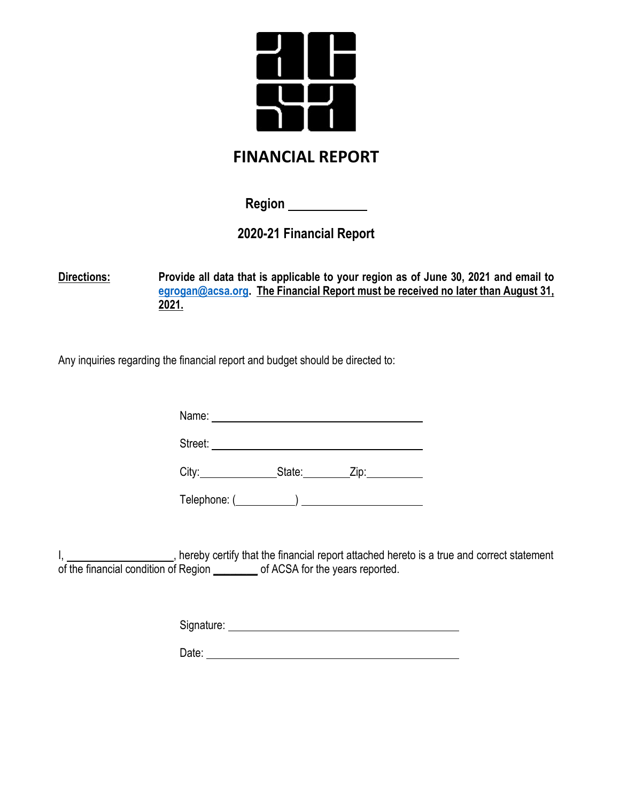

## **FINANCIAL REPORT**

**Region** 

**2020-21 Financial Report**

**Directions: Provide all data that is applicable to your region as of June 30, 2021 and email to [egrogan@acsa.org.](mailto:egrogan@acsa.org) The Financial Report must be received no later than August 31, 2021.**

Any inquiries regarding the financial report and budget should be directed to:

Name: Name: Name: Name: Name: Name: Name: Name: Name: Name: Name: Name: Name: Name: Name: Name: Name: Name: Name: Name: Name: Name: Name: Name: Name: Name: Name: Name: Name: Name: Name: Name: Name: Name: Name: Name: Name:

Street: **Street: Street: Street: Street:** *Street:* **<b>***Street:* 

City: State: Zip: Zip:

Telephone: ( )

I, 1. All encoded the financial report attached hereto is a true and correct statement of the financial condition of Region \_\_\_\_\_\_\_\_ of ACSA for the years reported.

Signature: experience of the state of the state of the state of the state of the state of the state of the state of the state of the state of the state of the state of the state of the state of the state of the state of th

Date: **Date: Date: Date: Date: Date: Date: Date: Date: Date: Date: Date: Date: Date: Date: Date: Date: Date: Date: Date: Date: Date: Date: Date: Date: Date: Date: Date:**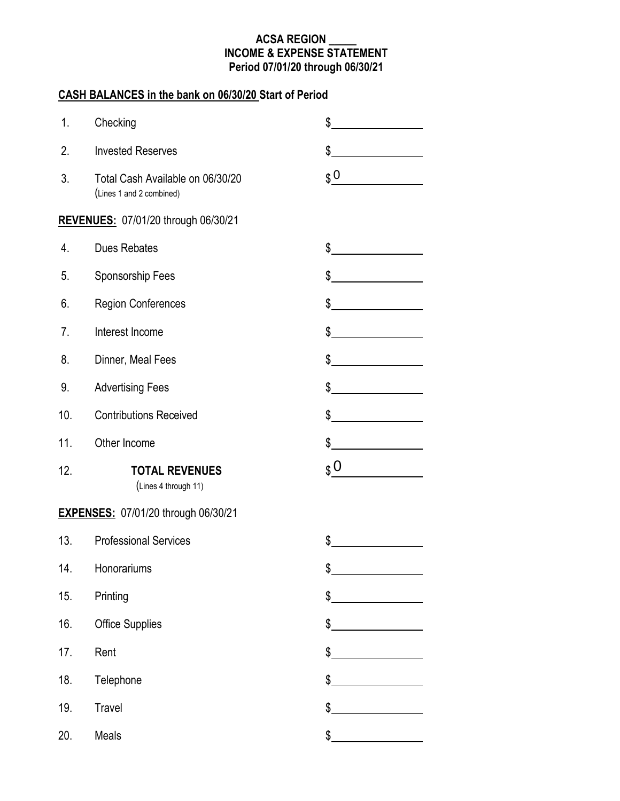### **ACSA REGION \_\_\_\_\_ INCOME & EXPENSE STATEMENT Period 07/01/20 through 06/30/21**

### **CASH BALANCES in the bank on 06/30/20 Start of Period**

| 1.  | Checking                                                     | \$                                                                                                                                                                                                                                         |
|-----|--------------------------------------------------------------|--------------------------------------------------------------------------------------------------------------------------------------------------------------------------------------------------------------------------------------------|
| 2.  | <b>Invested Reserves</b>                                     | \$                                                                                                                                                                                                                                         |
| 3.  | Total Cash Available on 06/30/20<br>(Lines 1 and 2 combined) | $\boldsymbol{\mathfrak{g}}$ 0                                                                                                                                                                                                              |
|     | <b>REVENUES: 07/01/20 through 06/30/21</b>                   |                                                                                                                                                                                                                                            |
| 4.  | <b>Dues Rebates</b>                                          | \$                                                                                                                                                                                                                                         |
| 5.  | Sponsorship Fees                                             | \$                                                                                                                                                                                                                                         |
| 6.  | <b>Region Conferences</b>                                    | \$                                                                                                                                                                                                                                         |
| 7.  | Interest Income                                              | \$<br><u>and the state of the state of the state of the state of the state of the state of the state of the state of the state of the state of the state of the state of the state of the state of the state of the state of the state</u> |
| 8.  | Dinner, Meal Fees                                            | \$                                                                                                                                                                                                                                         |
| 9.  | <b>Advertising Fees</b>                                      | \$                                                                                                                                                                                                                                         |
| 10. | <b>Contributions Received</b>                                | \$                                                                                                                                                                                                                                         |
| 11. | Other Income                                                 | \$                                                                                                                                                                                                                                         |
| 12. | <b>TOTAL REVENUES</b>                                        | $$^{0}$                                                                                                                                                                                                                                    |
|     | (Lines 4 through 11)                                         |                                                                                                                                                                                                                                            |
|     | <b>EXPENSES: 07/01/20 through 06/30/21</b>                   |                                                                                                                                                                                                                                            |
| 13. | <b>Professional Services</b>                                 | \$                                                                                                                                                                                                                                         |
| 14. | Honorariums                                                  | \$                                                                                                                                                                                                                                         |
| 15. | Printing                                                     | \$                                                                                                                                                                                                                                         |
| 16. | <b>Office Supplies</b>                                       | \$                                                                                                                                                                                                                                         |
| 17. | Rent                                                         | \$                                                                                                                                                                                                                                         |
| 18. | Telephone                                                    | \$                                                                                                                                                                                                                                         |
| 19. | Travel                                                       | \$                                                                                                                                                                                                                                         |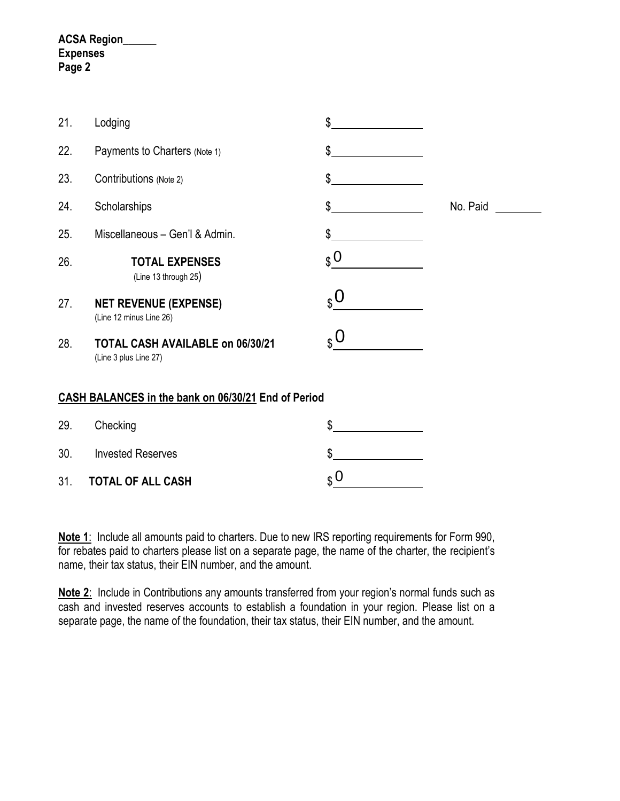### **ACSA Region\_\_\_\_\_\_ Expenses Page 2**

| 21.                                                 | Lodging                                                   | \$                                |          |  |  |
|-----------------------------------------------------|-----------------------------------------------------------|-----------------------------------|----------|--|--|
| 22.                                                 | Payments to Charters (Note 1)                             | \$                                |          |  |  |
| 23.                                                 | Contributions (Note 2)                                    | \$                                |          |  |  |
| 24.                                                 | Scholarships                                              | \$                                | No. Paid |  |  |
| 25.                                                 | Miscellaneous - Gen'l & Admin.                            | \$                                |          |  |  |
| 26.                                                 | <b>TOTAL EXPENSES</b><br>(Line 13 through 25)             | $\Omega$                          |          |  |  |
| 27.                                                 | <b>NET REVENUE (EXPENSE)</b><br>(Line 12 minus Line 26)   | $_{\circ}$ O                      |          |  |  |
| 28.                                                 | TOTAL CASH AVAILABLE on 06/30/21<br>(Line 3 plus Line 27) | $\boldsymbol{S}^{\boldsymbol{O}}$ |          |  |  |
| CASH BALANCES in the bank on 06/30/21 End of Period |                                                           |                                   |          |  |  |
| 29.                                                 | Checking                                                  | \$                                |          |  |  |
| 30.                                                 | <b>Invested Reserves</b>                                  | \$                                |          |  |  |

31. **TOTAL OF ALL CASH** \$

**Note 1**: Include all amounts paid to charters. Due to new IRS reporting requirements for Form 990, for rebates paid to charters please list on a separate page, the name of the charter, the recipient's name, their tax status, their EIN number, and the amount.

 $\boldsymbol{\mathfrak{g}}$  O

**Note 2**: Include in Contributions any amounts transferred from your region's normal funds such as cash and invested reserves accounts to establish a foundation in your region. Please list on a separate page, the name of the foundation, their tax status, their EIN number, and the amount.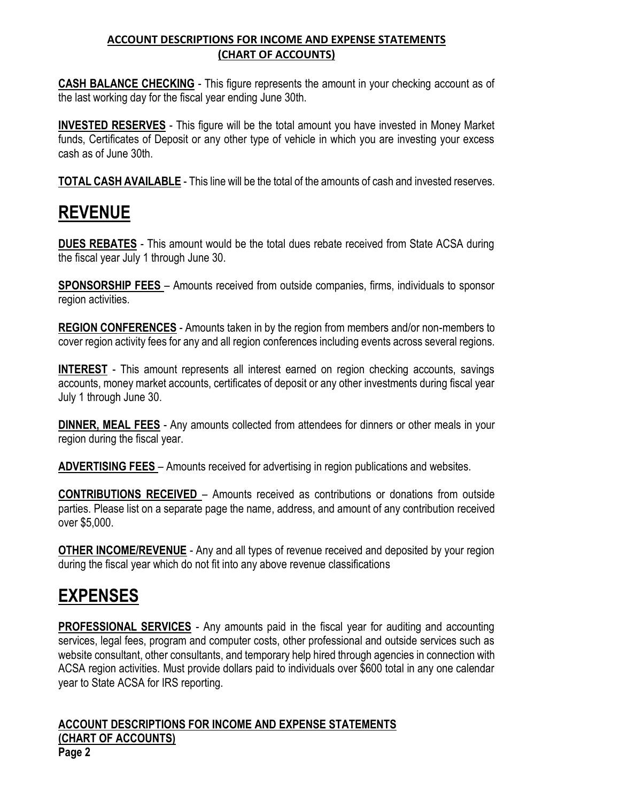### **ACCOUNT DESCRIPTIONS FOR INCOME AND EXPENSE STATEMENTS (CHART OF ACCOUNTS)**

**CASH BALANCE CHECKING** - This figure represents the amount in your checking account as of the last working day for the fiscal year ending June 30th.

**INVESTED RESERVES** - This figure will be the total amount you have invested in Money Market funds, Certificates of Deposit or any other type of vehicle in which you are investing your excess cash as of June 30th.

**TOTAL CASH AVAILABLE** - This line will be the total of the amounts of cash and invested reserves.

# **REVENUE**

**DUES REBATES** - This amount would be the total dues rebate received from State ACSA during the fiscal year July 1 through June 30.

**SPONSORSHIP FEES** – Amounts received from outside companies, firms, individuals to sponsor region activities.

**REGION CONFERENCES** - Amounts taken in by the region from members and/or non-members to cover region activity fees for any and all region conferences including events across several regions.

**INTEREST** - This amount represents all interest earned on region checking accounts, savings accounts, money market accounts, certificates of deposit or any other investments during fiscal year July 1 through June 30.

**DINNER, MEAL FEES** - Any amounts collected from attendees for dinners or other meals in your region during the fiscal year.

**ADVERTISING FEES** – Amounts received for advertising in region publications and websites.

**CONTRIBUTIONS RECEIVED** – Amounts received as contributions or donations from outside parties. Please list on a separate page the name, address, and amount of any contribution received over \$5,000.

**OTHER INCOME/REVENUE** - Any and all types of revenue received and deposited by your region during the fiscal year which do not fit into any above revenue classifications

# **EXPENSES**

**PROFESSIONAL SERVICES** - Any amounts paid in the fiscal year for auditing and accounting services, legal fees, program and computer costs, other professional and outside services such as website consultant, other consultants, and temporary help hired through agencies in connection with ACSA region activities. Must provide dollars paid to individuals over \$600 total in any one calendar year to State ACSA for IRS reporting.

**ACCOUNT DESCRIPTIONS FOR INCOME AND EXPENSE STATEMENTS (CHART OF ACCOUNTS) Page 2**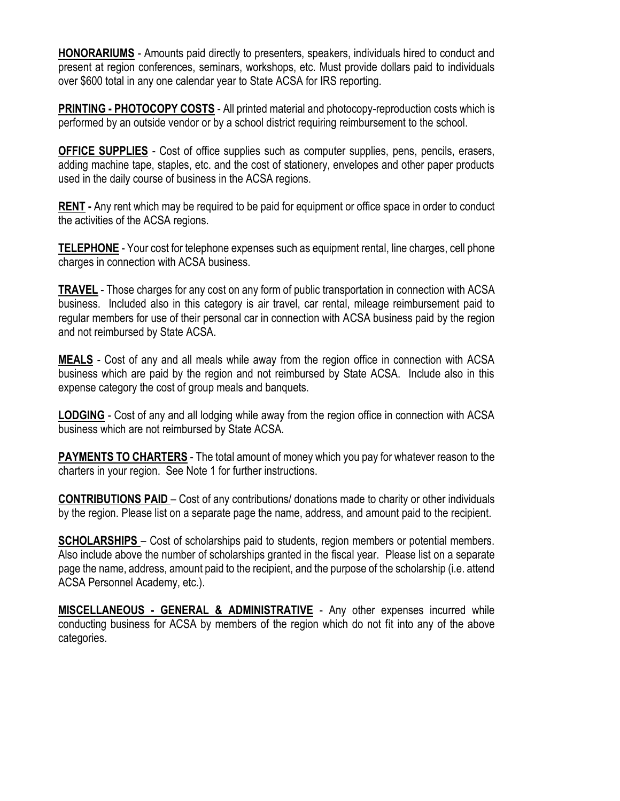**HONORARIUMS** - Amounts paid directly to presenters, speakers, individuals hired to conduct and present at region conferences, seminars, workshops, etc. Must provide dollars paid to individuals over \$600 total in any one calendar year to State ACSA for IRS reporting.

**PRINTING - PHOTOCOPY COSTS** - All printed material and photocopy-reproduction costs which is performed by an outside vendor or by a school district requiring reimbursement to the school.

**OFFICE SUPPLIES** - Cost of office supplies such as computer supplies, pens, pencils, erasers, adding machine tape, staples, etc. and the cost of stationery, envelopes and other paper products used in the daily course of business in the ACSA regions.

**RENT -** Any rent which may be required to be paid for equipment or office space in order to conduct the activities of the ACSA regions.

**TELEPHONE** - Your cost for telephone expenses such as equipment rental, line charges, cell phone charges in connection with ACSA business.

**TRAVEL** - Those charges for any cost on any form of public transportation in connection with ACSA business. Included also in this category is air travel, car rental, mileage reimbursement paid to regular members for use of their personal car in connection with ACSA business paid by the region and not reimbursed by State ACSA.

**MEALS** - Cost of any and all meals while away from the region office in connection with ACSA business which are paid by the region and not reimbursed by State ACSA. Include also in this expense category the cost of group meals and banquets.

**LODGING** - Cost of any and all lodging while away from the region office in connection with ACSA business which are not reimbursed by State ACSA.

**PAYMENTS TO CHARTERS** - The total amount of money which you pay for whatever reason to the charters in your region. See Note 1 for further instructions.

**CONTRIBUTIONS PAID** – Cost of any contributions/ donations made to charity or other individuals by the region. Please list on a separate page the name, address, and amount paid to the recipient.

**SCHOLARSHIPS** – Cost of scholarships paid to students, region members or potential members. Also include above the number of scholarships granted in the fiscal year. Please list on a separate page the name, address, amount paid to the recipient, and the purpose of the scholarship (i.e. attend ACSA Personnel Academy, etc.).

**MISCELLANEOUS - GENERAL & ADMINISTRATIVE** - Any other expenses incurred while conducting business for ACSA by members of the region which do not fit into any of the above categories.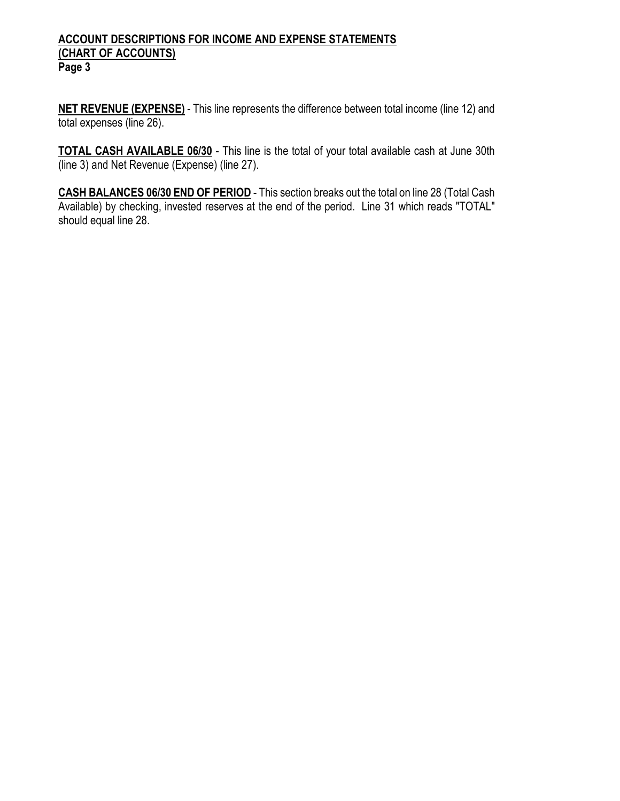#### **ACCOUNT DESCRIPTIONS FOR INCOME AND EXPENSE STATEMENTS (CHART OF ACCOUNTS) Page 3**

**NET REVENUE (EXPENSE)** - This line represents the difference between total income (line 12) and total expenses (line 26).

**TOTAL CASH AVAILABLE 06/30** - This line is the total of your total available cash at June 30th (line 3) and Net Revenue (Expense) (line 27).

**CASH BALANCES 06/30 END OF PERIOD** - This section breaks out the total on line 28 (Total Cash Available) by checking, invested reserves at the end of the period. Line 31 which reads "TOTAL" should equal line 28.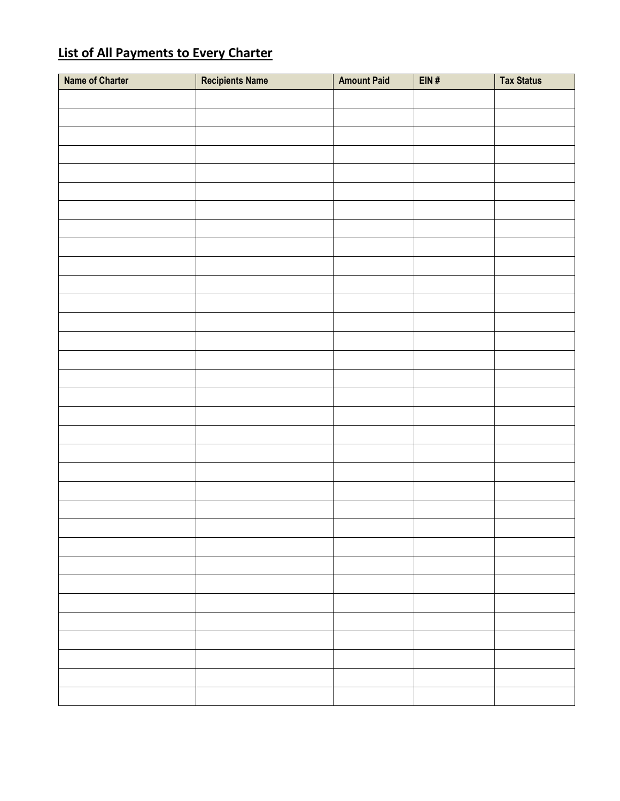## **List of All Payments to Every Charter**

| <b>Name of Charter</b> | <b>Recipients Name</b> | <b>Amount Paid</b> | EIN# | <b>Tax Status</b> |
|------------------------|------------------------|--------------------|------|-------------------|
|                        |                        |                    |      |                   |
|                        |                        |                    |      |                   |
|                        |                        |                    |      |                   |
|                        |                        |                    |      |                   |
|                        |                        |                    |      |                   |
|                        |                        |                    |      |                   |
|                        |                        |                    |      |                   |
|                        |                        |                    |      |                   |
|                        |                        |                    |      |                   |
|                        |                        |                    |      |                   |
|                        |                        |                    |      |                   |
|                        |                        |                    |      |                   |
|                        |                        |                    |      |                   |
|                        |                        |                    |      |                   |
|                        |                        |                    |      |                   |
|                        |                        |                    |      |                   |
|                        |                        |                    |      |                   |
|                        |                        |                    |      |                   |
|                        |                        |                    |      |                   |
|                        |                        |                    |      |                   |
|                        |                        |                    |      |                   |
|                        |                        |                    |      |                   |
|                        |                        |                    |      |                   |
|                        |                        |                    |      |                   |
|                        |                        |                    |      |                   |
|                        |                        |                    |      |                   |
|                        |                        |                    |      |                   |
|                        |                        |                    |      |                   |
|                        |                        |                    |      |                   |
|                        |                        |                    |      |                   |
|                        |                        |                    |      |                   |
|                        |                        |                    |      |                   |
|                        |                        |                    |      |                   |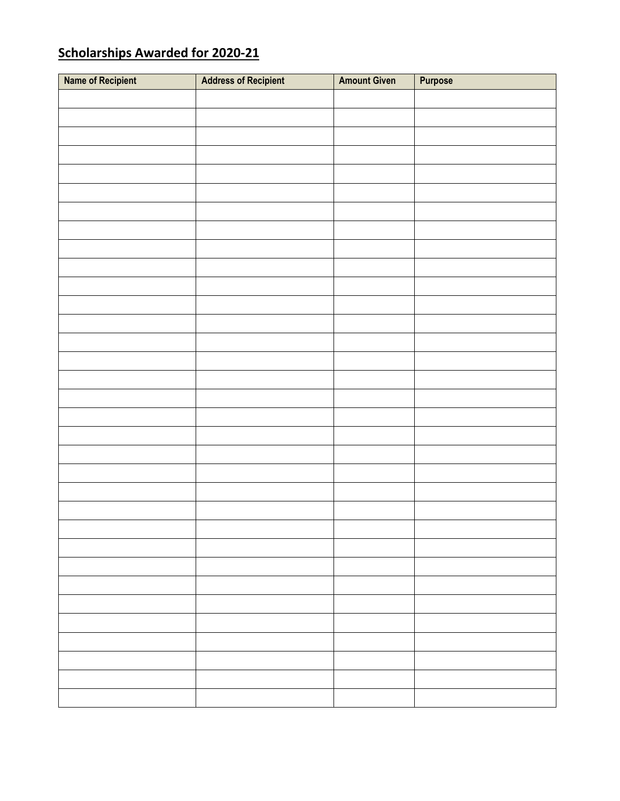## **Scholarships Awarded for 2020-21**

| Name of Recipient | <b>Address of Recipient</b> | <b>Amount Given</b> | Purpose |
|-------------------|-----------------------------|---------------------|---------|
|                   |                             |                     |         |
|                   |                             |                     |         |
|                   |                             |                     |         |
|                   |                             |                     |         |
|                   |                             |                     |         |
|                   |                             |                     |         |
|                   |                             |                     |         |
|                   |                             |                     |         |
|                   |                             |                     |         |
|                   |                             |                     |         |
|                   |                             |                     |         |
|                   |                             |                     |         |
|                   |                             |                     |         |
|                   |                             |                     |         |
|                   |                             |                     |         |
|                   |                             |                     |         |
|                   |                             |                     |         |
|                   |                             |                     |         |
|                   |                             |                     |         |
|                   |                             |                     |         |
|                   |                             |                     |         |
|                   |                             |                     |         |
|                   |                             |                     |         |
|                   |                             |                     |         |
|                   |                             |                     |         |
|                   |                             |                     |         |
|                   |                             |                     |         |
|                   |                             |                     |         |
|                   |                             |                     |         |
|                   |                             |                     |         |
|                   |                             |                     |         |
|                   |                             |                     |         |
|                   |                             |                     |         |